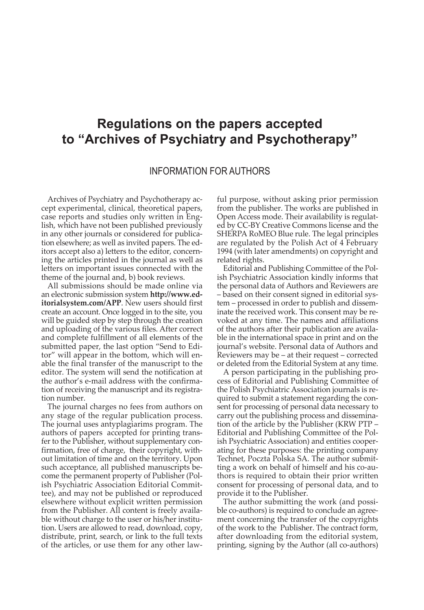## **Regulations on the papers accepted to "Archives of Psychiatry and Psychotherapy"**

## INFORMATION FOR AUTHORS

Archives of Psychiatry and Psychotherapy accept experimental, clinical, theoretical papers, case reports and studies only written in English, which have not been published previously in any other journals or considered for publication elsewhere; as well as invited papers. The editors accept also a) letters to the editor, concerning the articles printed in the journal as well as letters on important issues connected with the theme of the journal and, b) book reviews.

All submissions should be made online via an electronic submission system **http://www.editorialsystem.com/APP**. New users should first create an account. Once logged in to the site, you will be guided step by step through the creation and uploading of the various files. After correct and complete fulfillment of all elements of the submitted paper, the last option "Send to Editor" will appear in the bottom, which will enable the final transfer of the manuscript to the editor. The system will send the notification at the author's e-mail address with the confirmation of receiving the manuscript and its registration number.

The journal charges no fees from authors on any stage of the regular publication process. The journal uses antyplagiarims program. The authors of papers accepted for printing transfer to the Publisher, without supplementary confirmation, free of charge, their copyright, without limitation of time and on the territory. Upon such acceptance, all published manuscripts become the permanent property of Publisher (Polish Psychiatric Association Editorial Committee), and may not be published or reproduced elsewhere without explicit written permission from the Publisher. All content is freely available without charge to the user or his/her institution. Users are allowed to read, download, copy, distribute, print, search, or link to the full texts of the articles, or use them for any other lawful purpose, without asking prior permission from the publisher. The works are published in Open Access mode. Their availability is regulated by CC-BY Creative Commons license and the SHERPA RoMEO Blue rule. The legal principles are regulated by the Polish Act of 4 February 1994 (with later amendments) on copyright and related rights.

Editorial and Publishing Committee of the Polish Psychiatric Association kindly informs that the personal data of Authors and Reviewers are – based on their consent signed in editorial system – processed in order to publish and disseminate the received work. This consent may be revoked at any time. The names and affiliations of the authors after their publication are available in the international space in print and on the journal's website. Personal data of Authors and Reviewers may be – at their request – corrected or deleted from the Editorial System at any time.

A person participating in the publishing process of Editorial and Publishing Committee of the Polish Psychiatric Association journals is required to submit a statement regarding the consent for processing of personal data necessary to carry out the publishing process and dissemination of the article by the Publisher (KRW PTP – Editorial and Publishing Committee of the Polish Psychiatric Association) and entities cooperating for these purposes: the printing company Technet, Poczta Polska SA. The author submitting a work on behalf of himself and his co-authors is required to obtain their prior written consent for processing of personal data, and to provide it to the Publisher.

The author submitting the work (and possible co-authors) is required to conclude an agreement concerning the transfer of the copyrights of the work to the Publisher. The contract form, after downloading from the editorial system, printing, signing by the Author (all co-authors)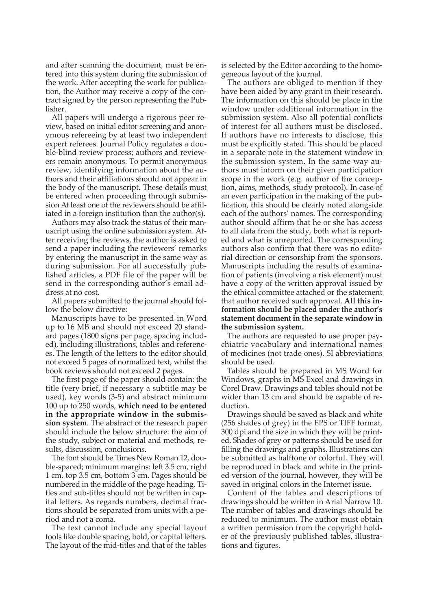and after scanning the document, must be entered into this system during the submission of the work. After accepting the work for publication, the Author may receive a copy of the contract signed by the person representing the Publisher.

All papers will undergo a rigorous peer review, based on initial editor screening and anonymous refereeing by at least two independent expert referees. Journal Policy regulates a double-blind review process; authors and reviewers remain anonymous. To permit anonymous review, identifying information about the authors and their affiliations should not appear in the body of the manuscript. These details must be entered when proceeding through submission At least one of the reviewers should be affiliated in a foreign institution than the author(s).

Authors may also track the status of their manuscript using the online submission system. After receiving the reviews, the author is asked to send a paper including the reviewers' remarks by entering the manuscript in the same way as during submission. For all successfully published articles, a PDF file of the paper will be send in the corresponding author's email address at no cost.

All papers submitted to the journal should follow the below directive:

Manuscripts have to be presented in Word up to 16 MB and should not exceed 20 standard pages (1800 signs per page, spacing included), including illustrations, tables and references. The length of the letters to the editor should not exceed 5 pages of normalized text, whilst the book reviews should not exceed 2 pages.

The first page of the paper should contain: the title (very brief, if necessary a subtitle may be used), key words (3-5) and abstract minimum 100 up to 250 words, **which need to be entered in the appropriate window in the submission system**. The abstract of the research paper should include the below structure: the aim of the study, subject or material and methods, results, discussion, conclusions.

The font should be Times New Roman 12, double-spaced; minimum margins: left 3.5 cm, right 1 cm, top 3.5 cm, bottom 3 cm. Pages should be numbered in the middle of the page heading. Titles and sub-titles should not be written in capital letters. As regards numbers, decimal fractions should be separated from units with a period and not a coma.

The text cannot include any special layout tools like double spacing, bold, or capital letters. The layout of the mid-titles and that of the tables

is selected by the Editor according to the homogeneous layout of the journal.

The authors are obliged to mention if they have been aided by any grant in their research. The information on this should be place in the window under additional information in the submission system. Also all potential conflicts of interest for all authors must be disclosed. If authors have no interests to disclose, this must be explicitly stated. This should be placed in a separate note in the statement window in the submission system. In the same way authors must inform on their given participation scope in the work (e.g. author of the conception, aims, methods, study protocol). In case of an even participation in the making of the publication, this should be clearly noted alongside each of the authors' names. The corresponding author should affirm that he or she has access to all data from the study, both what is reported and what is unreported. The corresponding authors also confirm that there was no editorial direction or censorship from the sponsors. Manuscripts including the results of examination of patients (involving a risk element) must have a copy of the written approval issued by the ethical committee attached or the statement that author received such approval. **All this information should be placed under the author's statement document in the separate window in the submission system.**

The authors are requested to use proper psychiatric vocabulary and international names of medicines (not trade ones). SI abbreviations should be used.

Tables should be prepared in MS Word for Windows, graphs in MS Excel and drawings in Corel Draw. Drawings and tables should not be wider than 13 cm and should be capable of reduction.

Drawings should be saved as black and white (256 shades of grey) in the EPS or TIFF format, 300 dpi and the size in which they will be printed. Shades of grey or patterns should be used for filling the drawings and graphs. Illustrations can be submitted as halftone or colorful. They will be reproduced in black and white in the printed version of the journal, however, they will be saved in original colors in the Internet issue.

Content of the tables and descriptions of drawings should be written in Arial Narrow 10. The number of tables and drawings should be reduced to minimum. The author must obtain a written permission from the copyright holder of the previously published tables, illustrations and figures.